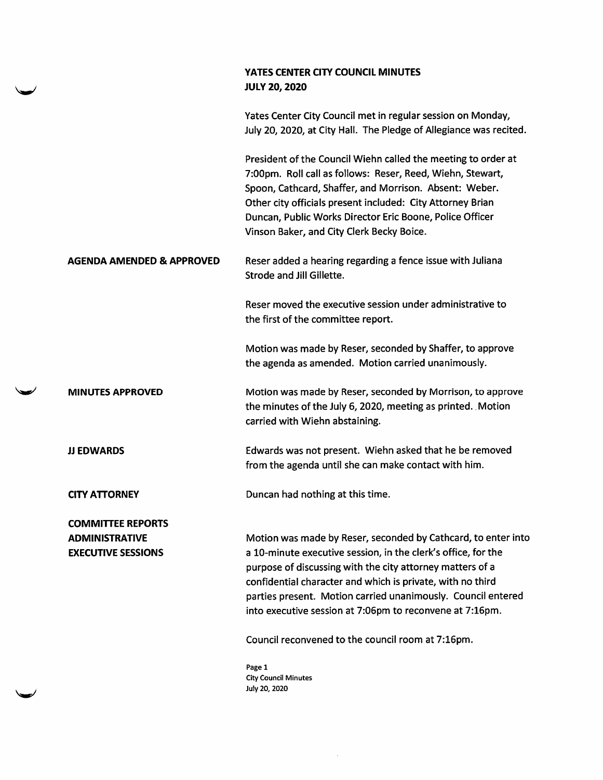## YATES CENTER CITY COUNCIL MINUTES JULY 20, 2020

Yates Center City Council met in regular session on Monday, July 20, 2020, at City Hall. The Pledge of Allegiance was recited.

President of the Council WIehn called the meeting to order at 7:00pm. Roll call as follows: Reser, Reed, WIehn, Stewart, Spoon, Cathcard, Shaffer, and Morrison. Absent: Weber. Other city officials present included: City Attorney Brian Duncan, Public Works Director Eric Boone, Police Officer Vinson Baker, and City Clerk Becky Boice.

## AGENDA AMENDED & APPROVED Reser added a hearing regarding a fence issue with Juliana Strode and Jill Gillette.

Reser moved the executive session under administrative to the first of the committee report.

Motion was made by Reser, seconded by Shaffer, to approve the agenda as amended. Motion carried unanimously.

**MINUTES APPROVED** Motion was made by Reser, seconded by Morrison, to approve the minutes of the July 6, 2020, meeting as printed. Motion carried with WIehn abstaining.

JJ EDWARDS Edwards was not present. WIehn asked that he be removed from the agenda until she can make contact with him.

CITY ATTORNEY Duncan had nothing at this time.

w

COMMITTEE REPORTS ADMINISTRATIVE EXECUTIVE SESSIONS

Motion was made by Reser, seconded by Cathcard, to enter into a 10-minute executive session, in the clerk's office, for the purpose of discussing with the city attorney matters of a confidential character and which is private, with no third parties present. Motion carried unanimously. Council entered into executive session at 7:06pm to reconvene at 7:16pm.

Council reconvened to the council room at 7:16pm.

Page 1 City Council Minutes July 20, 2020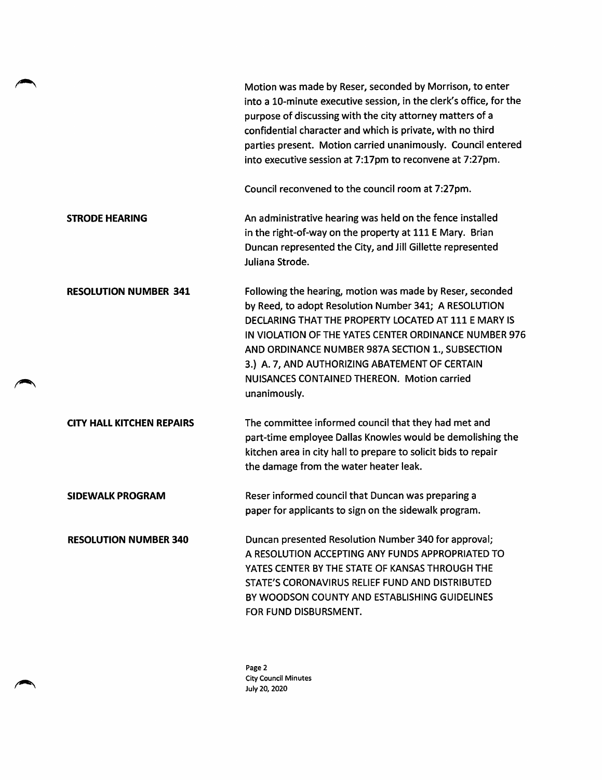|                                  | Motion was made by Reser, seconded by Morrison, to enter<br>into a 10-minute executive session, in the clerk's office, for the<br>purpose of discussing with the city attorney matters of a<br>confidential character and which is private, with no third<br>parties present. Motion carried unanimously. Council entered<br>into executive session at 7:17pm to reconvene at 7:27pm.                    |
|----------------------------------|----------------------------------------------------------------------------------------------------------------------------------------------------------------------------------------------------------------------------------------------------------------------------------------------------------------------------------------------------------------------------------------------------------|
|                                  | Council reconvened to the council room at 7:27pm.                                                                                                                                                                                                                                                                                                                                                        |
| <b>STRODE HEARING</b>            | An administrative hearing was held on the fence installed<br>in the right-of-way on the property at 111 E Mary. Brian<br>Duncan represented the City, and Jill Gillette represented<br>Juliana Strode.                                                                                                                                                                                                   |
| <b>RESOLUTION NUMBER 341</b>     | Following the hearing, motion was made by Reser, seconded<br>by Reed, to adopt Resolution Number 341; A RESOLUTION<br>DECLARING THAT THE PROPERTY LOCATED AT 111 E MARY IS<br>IN VIOLATION OF THE YATES CENTER ORDINANCE NUMBER 976<br>AND ORDINANCE NUMBER 987A SECTION 1., SUBSECTION<br>3.) A. 7, AND AUTHORIZING ABATEMENT OF CERTAIN<br>NUISANCES CONTAINED THEREON. Motion carried<br>unanimously. |
| <b>CITY HALL KITCHEN REPAIRS</b> | The committee informed council that they had met and<br>part-time employee Dallas Knowles would be demolishing the<br>kitchen area in city hall to prepare to solicit bids to repair<br>the damage from the water heater leak.                                                                                                                                                                           |
| <b>SIDEWALK PROGRAM</b>          | Reser informed council that Duncan was preparing a<br>paper for applicants to sign on the sidewalk program.                                                                                                                                                                                                                                                                                              |
| <b>RESOLUTION NUMBER 340</b>     | Duncan presented Resolution Number 340 for approval;<br>A RESOLUTION ACCEPTING ANY FUNDS APPROPRIATED TO<br>YATES CENTER BY THE STATE OF KANSAS THROUGH THE<br>STATE'S CORONAVIRUS RELIEF FUND AND DISTRIBUTED<br>BY WOODSON COUNTY AND ESTABLISHING GUIDELINES<br>FOR FUND DISBURSMENT.                                                                                                                 |

Page 2 City Council Minutes July 20,2020

 $\rightarrow$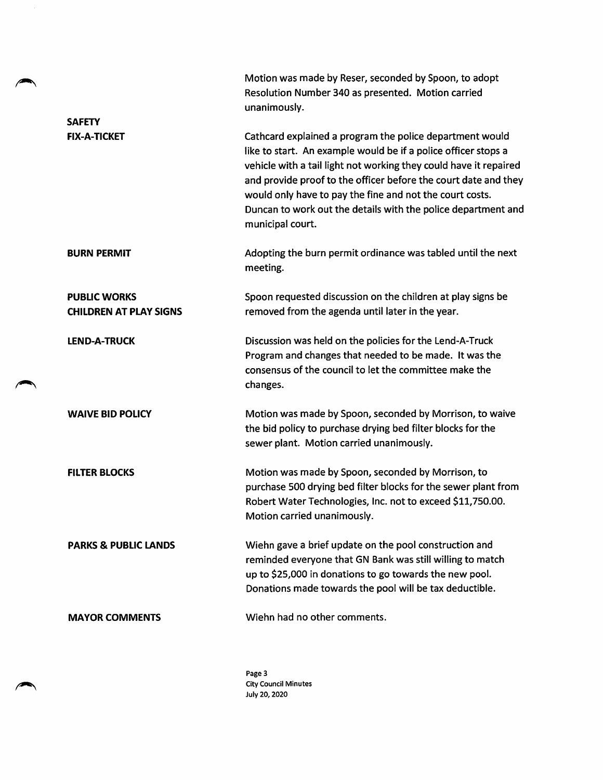|                                                      | Motion was made by Reser, seconded by Spoon, to adopt<br>Resolution Number 340 as presented. Motion carried<br>unanimously.                                                                                                                                                                                                                                                                                         |
|------------------------------------------------------|---------------------------------------------------------------------------------------------------------------------------------------------------------------------------------------------------------------------------------------------------------------------------------------------------------------------------------------------------------------------------------------------------------------------|
| <b>SAFETY</b>                                        |                                                                                                                                                                                                                                                                                                                                                                                                                     |
| <b>FIX-A-TICKET</b>                                  | Cathcard explained a program the police department would<br>like to start. An example would be if a police officer stops a<br>vehicle with a tail light not working they could have it repaired<br>and provide proof to the officer before the court date and they<br>would only have to pay the fine and not the court costs.<br>Duncan to work out the details with the police department and<br>municipal court. |
| <b>BURN PERMIT</b>                                   | Adopting the burn permit ordinance was tabled until the next<br>meeting.                                                                                                                                                                                                                                                                                                                                            |
| <b>PUBLIC WORKS</b><br><b>CHILDREN AT PLAY SIGNS</b> | Spoon requested discussion on the children at play signs be<br>removed from the agenda until later in the year.                                                                                                                                                                                                                                                                                                     |
| <b>LEND-A-TRUCK</b>                                  | Discussion was held on the policies for the Lend-A-Truck<br>Program and changes that needed to be made. It was the<br>consensus of the council to let the committee make the<br>changes.                                                                                                                                                                                                                            |
| <b>WAIVE BID POLICY</b>                              | Motion was made by Spoon, seconded by Morrison, to waive<br>the bid policy to purchase drying bed filter blocks for the<br>sewer plant. Motion carried unanimously.                                                                                                                                                                                                                                                 |
| <b>FILTER BLOCKS</b>                                 | Motion was made by Spoon, seconded by Morrison, to<br>purchase 500 drying bed filter blocks for the sewer plant from<br>Robert Water Technologies, Inc. not to exceed \$11,750.00.<br>Motion carried unanimously.                                                                                                                                                                                                   |
| <b>PARKS &amp; PUBLIC LANDS</b>                      | Wiehn gave a brief update on the pool construction and<br>reminded everyone that GN Bank was still willing to match<br>up to \$25,000 in donations to go towards the new pool.<br>Donations made towards the pool will be tax deductible.                                                                                                                                                                           |
| <b>MAYOR COMMENTS</b>                                | Wiehn had no other comments.                                                                                                                                                                                                                                                                                                                                                                                        |

╲

٠

Page 3 City Council Minutes July 20,2020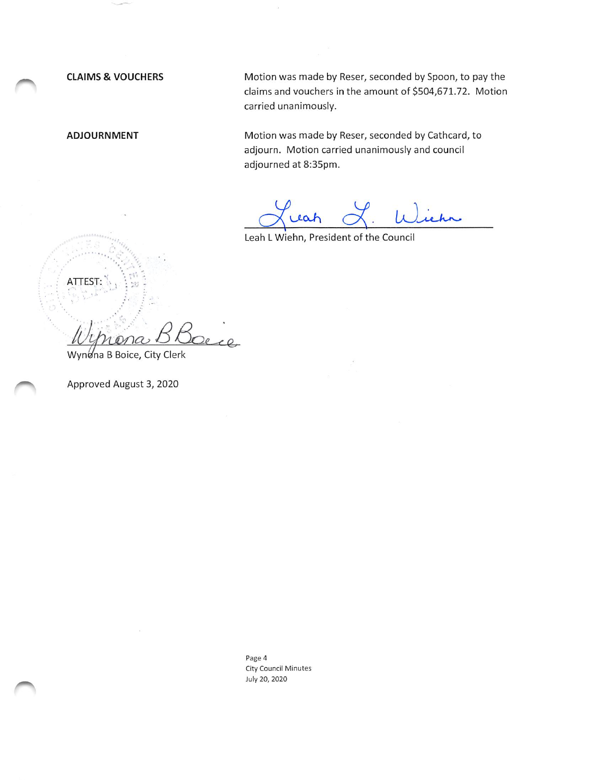ATTEST:

CLAIMS & VOUCHERS Motion was made by Reser, seconded by Spoon, to pay the claims and vouchers in the amount of \$504,671.72. Motion carried unanimously.

ADJOURNMENT Motion was made by Reser, seconded by Cathcard, to adjourn. Motion carried unanimously and council adjourned at 8:35pm.

hr

Leah LWiehn, President of the Council

Wynona B Boice, City Clerk

Approved August 3, 2020

Page 4 City Council Minutes July 20, 2020